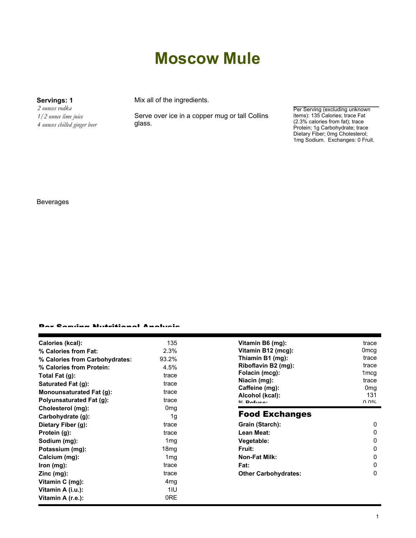# **Moscow Mule**

*2 ounces vodka 1/2 ounce lime juice 4 ounces chilled ginger beer*

**Servings: 1** Mix all of the ingredients.

Serve over ice in a copper mug or tall Collins glass.

Per Serving (excluding unknown items): 135 Calories; trace Fat (2.3% calories from fat); trace Protein; 1g Carbohydrate; trace Dietary Fiber; 0mg Cholesterol; 1mg Sodium. Exchanges: 0 Fruit.

### Beverages

### Per Serving Nutritional Analysis

| 135<br>Calories (kcal):<br>Vitamin B6 (mg):                                   | trace                  |
|-------------------------------------------------------------------------------|------------------------|
| Vitamin B12 (mcg):<br>2.3%<br>% Calories from Fat:                            | 0mcg                   |
| Thiamin B1 (mg):<br>93.2%<br>% Calories from Carbohydrates:                   | trace                  |
| Riboflavin B2 (mg):<br>4.5%<br>% Calories from Protein:                       | trace                  |
| Folacin (mcg):<br>Total Fat $(g)$ :<br>trace                                  | 1 <sub>mcg</sub>       |
| Niacin (mg):<br>Saturated Fat (g):<br>trace                                   | trace                  |
| Caffeine (mg):<br>Monounsaturated Fat (g):<br>trace                           | 0 <sub>mg</sub><br>131 |
| Alcohol (kcal):<br><b>Polyunsaturated Fat (g):</b><br>trace<br>$0/2$ Pofileon | $\cap$ $\cap$ %        |
| Cholesterol (mg):<br>0 <sub>mq</sub>                                          |                        |
| <b>Food Exchanges</b><br>1 <sub>q</sub><br>Carbohydrate (g):                  |                        |
| Grain (Starch):<br>Dietary Fiber (g):<br>trace                                | 0                      |
| Lean Meat:<br>trace<br>Protein (g):                                           | 0                      |
| Vegetable:<br>Sodium (mg):<br>1 <sub>mg</sub>                                 | 0                      |
| Fruit:<br>18 <sub>mg</sub><br>Potassium (mg):                                 | 0                      |
| <b>Non-Fat Milk:</b><br>1 <sub>mg</sub><br>Calcium (mg):                      | 0                      |
| Fat:<br>lron (mg):<br>trace                                                   | 0                      |
| <b>Other Carbohydrates:</b><br>$Zinc$ (mg):<br>trace                          | 0                      |
| Vitamin C (mg):<br>4mg                                                        |                        |
| 1IU<br>Vitamin A (i.u.):                                                      |                        |
| 0RE<br>Vitamin A (r.e.):                                                      |                        |